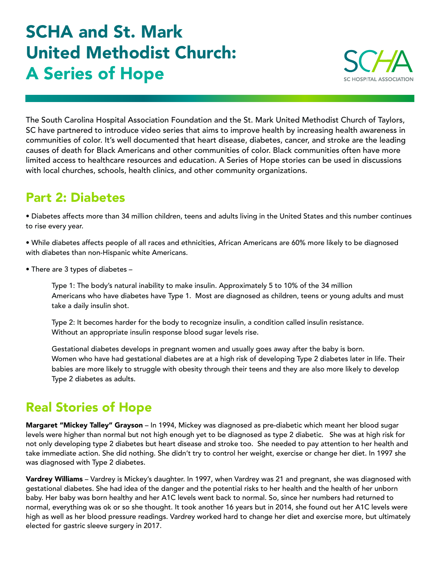## SCHA and St. Mark United Methodist Church: A Series of Hope



The South Carolina Hospital Association Foundation and the St. Mark United Methodist Church of Taylors, SC have partnered to introduce video series that aims to improve health by increasing health awareness in communities of color. It's well documented that heart disease, diabetes, cancer, and stroke are the leading causes of death for Black Americans and other communities of color. Black communities often have more limited access to healthcare resources and education. A Series of Hope stories can be used in discussions with local churches, schools, health clinics, and other community organizations.

## Part 2: Diabetes

• Diabetes affects more than 34 million children, teens and adults living in the United States and this number continues to rise every year.

• While diabetes affects people of all races and ethnicities, African Americans are 60% more likely to be diagnosed with diabetes than non-Hispanic white Americans.

• There are 3 types of diabetes –

Type 1: The body's natural inability to make insulin. Approximately 5 to 10% of the 34 million Americans who have diabetes have Type 1. Most are diagnosed as children, teens or young adults and must take a daily insulin shot.

Type 2: It becomes harder for the body to recognize insulin, a condition called insulin resistance. Without an appropriate insulin response blood sugar levels rise.

Gestational diabetes develops in pregnant women and usually goes away after the baby is born. Women who have had gestational diabetes are at a high risk of developing Type 2 diabetes later in life. Their babies are more likely to struggle with obesity through their teens and they are also more likely to develop Type 2 diabetes as adults.

## Real Stories of Hope

Margaret "Mickey Talley" Grayson - In 1994, Mickey was diagnosed as pre-diabetic which meant her blood sugar levels were higher than normal but not high enough yet to be diagnosed as type 2 diabetic. She was at high risk for not only developing type 2 diabetes but heart disease and stroke too. She needed to pay attention to her health and take immediate action. She did nothing. She didn't try to control her weight, exercise or change her diet. In 1997 she was diagnosed with Type 2 diabetes.

Vardrey Williams - Vardrey is Mickey's daughter. In 1997, when Vardrey was 21 and pregnant, she was diagnosed with gestational diabetes. She had idea of the danger and the potential risks to her health and the health of her unborn baby. Her baby was born healthy and her A1C levels went back to normal. So, since her numbers had returned to normal, everything was ok or so she thought. It took another 16 years but in 2014, she found out her A1C levels were high as well as her blood pressure readings. Vardrey worked hard to change her diet and exercise more, but ultimately elected for gastric sleeve surgery in 2017.